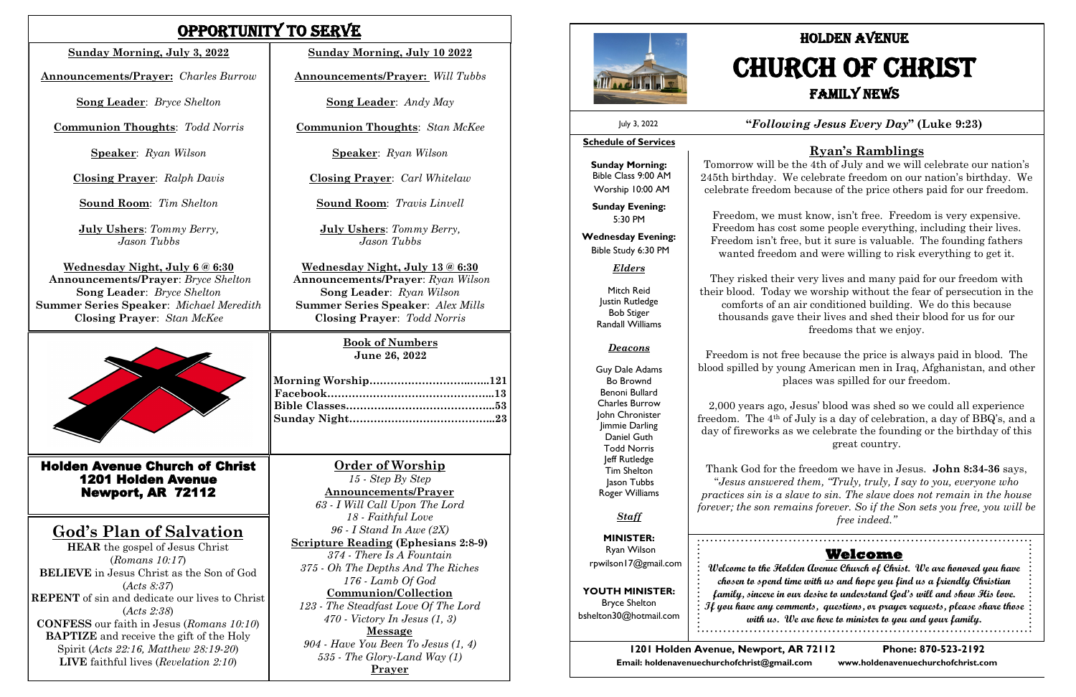## Opportunity To Serve

### **Order of Worship**

*15 - Step By Step* **Announcements/Prayer** *63 - I Will Call Upon The Lord 18 - Faithful Love 96 - I Stand In Awe (2X)* **Scripture Reading (Ephesians 2:8-9)** *374 - There Is A Fountain 375 - Oh The Depths And The Riches 176 - Lamb Of God* **Communion/Collection** *123 - The Steadfast Love Of The Lord 470 - Victory In Jesus (1, 3)* **Message** *904 - Have You Been To Jesus (1, 4) 535 - The Glory-Land Way (1)* **Prayer** 



**Book of Numbers June 26, 2022**

Holden Avenue Church of Christ 1201 Holden Avenue Newport, AR 72112

## **God's Plan of Salvation**

**HEAR** the gospel of Jesus Christ (*Romans 10:17*) **BELIEVE** in Jesus Christ as the Son of God (*Acts 8:37*) **REPENT** of sin and dedicate our lives to Christ (*Acts 2:38*) **CONFESS** our faith in Jesus (*Romans 10:10*) **BAPTIZE** and receive the gift of the Holy Spirit (*Acts 22:16, Matthew 28:19-20*) **LIVE** faithful lives (*Revelation 2:10*)

#### **Sunday Morning, July 3, 2022**

**Announcements/Prayer:** *Charles Burrow*

**Song Leader**: *Bryce Shelton*

**Communion Thoughts**: *Todd Norris*

**Speaker**: *Ryan Wilson*

**Closing Prayer**: *Ralph Davis*

**Sound Room**: *Tim Shelton* 

**July Ushers**: *Tommy Berry, Jason Tubbs* 

**Wednesday Night, July 6 @ 6:30 Announcements/Prayer**: *Bryce Shelton*  **Song Leader**: *Bryce Shelton* **Summer Series Speaker**: *Michael Meredith* **Closing Prayer**: *Stan McKee*



**Sunday Morning, July 10 2022**

**Announcements/Prayer:** *Will Tubbs*

**Song Leader**: *Andy May*

**Communion Thoughts**: *Stan McKee*

**Speaker**: *Ryan Wilson*

**Closing Prayer**: *Carl Whitelaw*

**Sound Room**: *Travis Linvell*

**July Ushers**: *Tommy Berry, Jason Tubbs* 

**Wednesday Night, July 13 @ 6:30 Announcements/Prayer**: *Ryan Wilson*  **Song Leader**: *Ryan Wilson* **Summer Series Speaker**: *Alex Mills* **Closing Prayer**: *Todd Norris* 

#### **"***Following Jesus Every Day***" (Luke 9:23)**

**1201 Holden Avenue, Newport, AR 72112 Phone: 870-523-2192 Email: holdenavenuechurchofchrist@gmail.com www.holdenavenuechurchofchrist.com** 

#### **Welcome**

**Welcome to the Holden Avenue Church of Christ. We are honored you have chosen to spend time with us and hope you find us a friendly Christian family, sincere in our desire to understand God's will and show His love. If you have any comments, questions, or prayer requests, please share those with us. We are here to minister to you and your family.**

#### **Schedule of Services**

**Sunday Morning:** Bible Class 9:00 AM Worship 10:00 AM

**Sunday Evening:** 5:30 PM

**Wednesday Evening:** Bible Study 6:30 PM

#### *Elders*

Mitch Reid Justin Rutledge Bob Stiger Randall Williams

#### *Deacons*

Guy Dale Adams Bo Brownd Benoni Bullard Charles Burrow John Chronister Jimmie Darling Daniel Guth Todd Norris Jeff Rutledge Tim Shelton Jason Tubbs Roger Williams

*Staff*

**MINISTER:** Ryan Wilson rpwilson17@gmail.com

**YOUTH MINISTER:** Bryce Shelton bshelton30@hotmail.com

July 3, 2022

# HOLDEN AVENUE CHURCH OF CHRIST FAMILY NEWS

### **Ryan's Ramblings**

Tomorrow will be the 4th of July and we will celebrate our nation's 245th birthday. We celebrate freedom on our nation's birthday. We celebrate freedom because of the price others paid for our freedom.

Freedom, we must know, isn't free. Freedom is very expensive. Freedom has cost some people everything, including their lives. Freedom isn't free, but it sure is valuable. The founding fathers wanted freedom and were willing to risk everything to get it.

They risked their very lives and many paid for our freedom with their blood. Today we worship without the fear of persecution in the comforts of an air conditioned building. We do this because thousands gave their lives and shed their blood for us for our freedoms that we enjoy.

Freedom is not free because the price is always paid in blood. The blood spilled by young American men in Iraq, Afghanistan, and other places was spilled for our freedom.

2,000 years ago, Jesus' blood was shed so we could all experience freedom. The 4th of July is a day of celebration, a day of BBQ's, and a day of fireworks as we celebrate the founding or the birthday of this great country.

Thank God for the freedom we have in Jesus. **John 8:34-36** says, "*Jesus answered them, "Truly, truly, I say to you, everyone who practices sin is a slave to sin. The slave does not remain in the house forever; the son remains forever. So if the Son sets you free, you will be free indeed."*